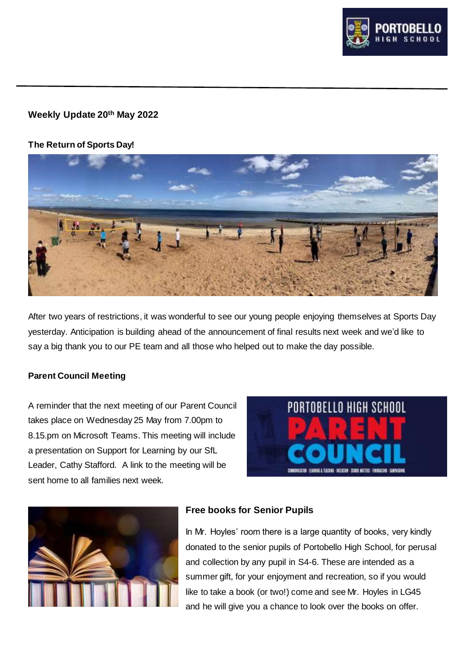

# **Weekly Update 20th May 2022**

## **The Return of Sports Day!**



After two years of restrictions, it was wonderful to see our young people enjoying themselves at Sports Day yesterday. Anticipation is building ahead of the announcement of final results next week and we'd like to say a big thank you to our PE team and all those who helped out to make the day possible.

## **Parent Council Meeting**

A reminder that the next meeting of our Parent Council takes place on Wednesday 25 May from 7.00pm to 8.15.pm on Microsoft Teams. This meeting will include a presentation on Support for Learning by our SfL Leader, Cathy Stafford. A link to the meeting will be sent home to all families next week.





# **Free books for Senior Pupils**

In Mr. Hoyles' room there is a large quantity of books, very kindly donated to the senior pupils of Portobello High School, for perusal and collection by any pupil in S4-6. These are intended as a summer gift, for your enjoyment and recreation, so if you would like to take a book (or two!) come and see Mr. Hoyles in LG45 and he will give you a chance to look over the books on offer.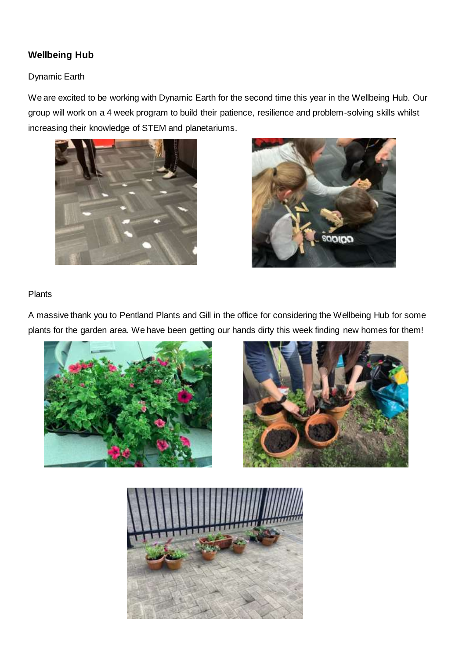# **Wellbeing Hub**

### Dynamic Earth

We are excited to be working with Dynamic Earth for the second time this year in the Wellbeing Hub. Our group will work on a 4 week program to build their patience, resilience and problem-solving skills whilst increasing their knowledge of STEM and planetariums.





#### Plants

A massive thank you to Pentland Plants and Gill in the office for considering the Wellbeing Hub for some plants for the garden area. We have been getting our hands dirty this week finding new homes for them!





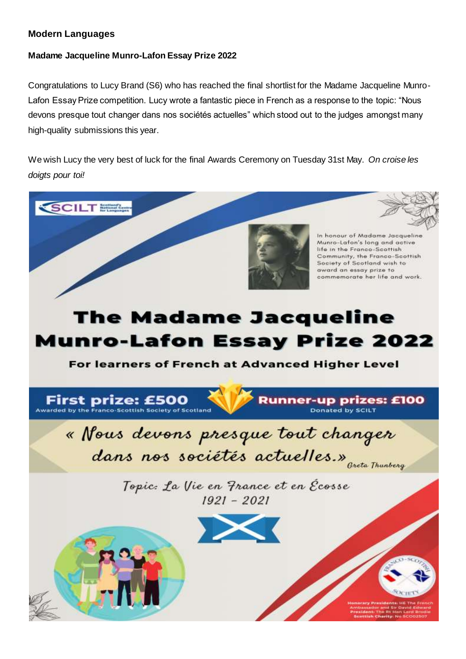## **Modern Languages**

# **Madame Jacqueline Munro-Lafon Essay Prize 2022**

Congratulations to Lucy Brand (S6) who has reached the final shortlist for the Madame Jacqueline Munro-Lafon Essay Prize competition. Lucy wrote a fantastic piece in French as a response to the topic: "Nous devons presque tout changer dans nos sociétés actuelles" which stood out to the judges amongst many high-quality submissions this year.

We wish Lucy the very best of luck for the final Awards Ceremony on Tuesday 31st May. *On croise les doigts pour toi!*

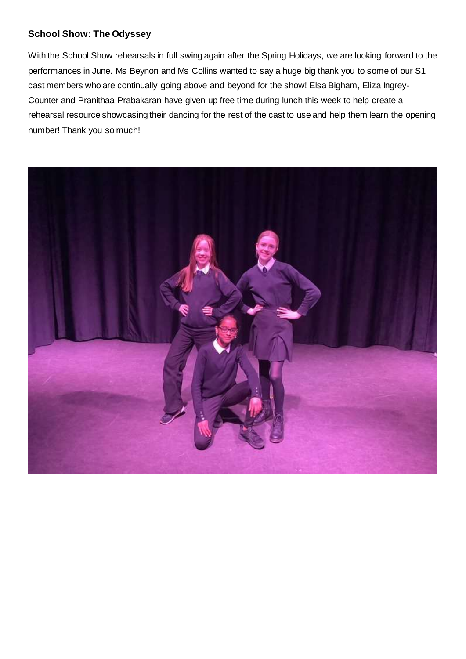## **School Show: The Odyssey**

With the School Show rehearsals in full swing again after the Spring Holidays, we are looking forward to the performances in June. Ms Beynon and Ms Collins wanted to say a huge big thank you to some of our S1 cast members who are continually going above and beyond for the show! Elsa Bigham, Eliza Ingrey-Counter and Pranithaa Prabakaran have given up free time during lunch this week to help create a rehearsal resource showcasing their dancing for the rest of the cast to use and help them learn the opening number! Thank you so much!

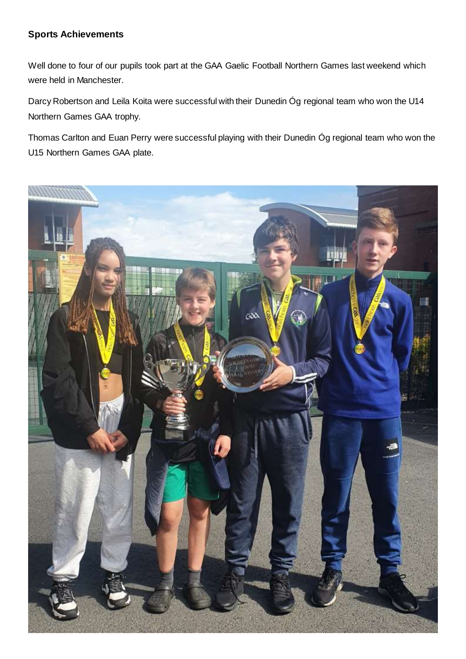# **Sports Achievements**

Well done to four of our pupils took part at the GAA Gaelic Football Northern Games last weekend which were held in Manchester.

Darcy Robertson and Leila Koita were successful with their Dunedin Óg regional team who won the U14 Northern Games GAA trophy.

Thomas Carlton and Euan Perry were successful playing with their Dunedin Óg regional team who won the U15 Northern Games GAA plate.